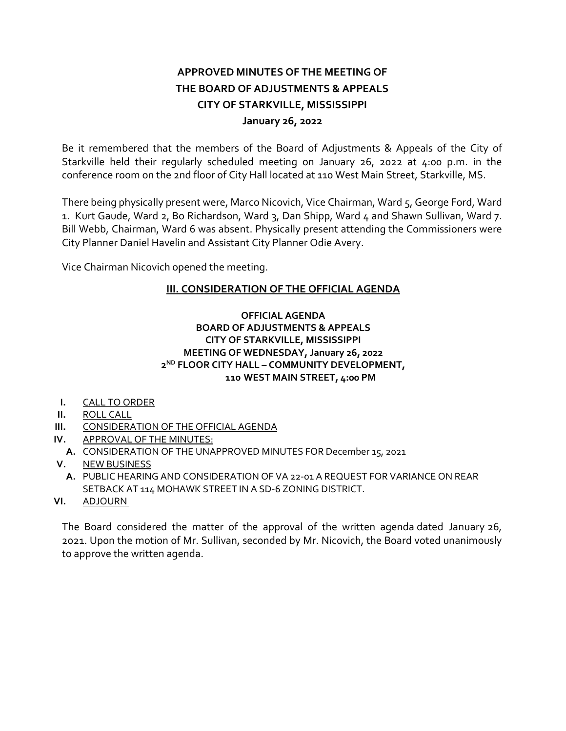# **APPROVED MINUTES OF THE MEETING OF THE BOARD OF ADJUSTMENTS & APPEALS CITY OF STARKVILLE, MISSISSIPPI January 26, 2022**

Be it remembered that the members of the Board of Adjustments & Appeals of the City of Starkville held their regularly scheduled meeting on January 26, 2022 at 4:00 p.m. in the conference room on the 2nd floor of City Hall located at 110 West Main Street, Starkville, MS.

There being physically present were, Marco Nicovich, Vice Chairman, Ward 5, George Ford, Ward 1. Kurt Gaude, Ward 2, Bo Richardson, Ward 3, Dan Shipp, Ward 4 and Shawn Sullivan, Ward 7. Bill Webb, Chairman, Ward 6 was absent. Physically present attending the Commissioners were City Planner Daniel Havelin and Assistant City Planner Odie Avery.

Vice Chairman Nicovich opened the meeting.

## **III. CONSIDERATION OF THE OFFICIAL AGENDA**

#### **OFFICIAL AGENDA BOARD OF ADJUSTMENTS & APPEALS CITY OF STARKVILLE, MISSISSIPPI MEETING OF WEDNESDAY, January 26, 2022 2ND FLOOR CITY HALL – COMMUNITY DEVELOPMENT, 110 WEST MAIN STREET, 4:00 PM**

- **I.** CALL TO ORDER
- **II.** ROLL CALL
- **III.** CONSIDERATION OF THE OFFICIAL AGENDA
- **IV.** APPROVAL OF THE MINUTES:
- **A.** CONSIDERATION OF THE UNAPPROVED MINUTES FOR December 15, 2021
- **V.** NEW BUSINESS
	- **A.** PUBLIC HEARING AND CONSIDERATION OF VA 22-01 A REQUEST FOR VARIANCE ON REAR SETBACK AT 114 MOHAWK STREET IN A SD-6 ZONING DISTRICT.
- **VI.** ADJOURN

The Board considered the matter of the approval of the written agenda dated January 26, 2021. Upon the motion of Mr. Sullivan, seconded by Mr. Nicovich, the Board voted unanimously to approve the written agenda.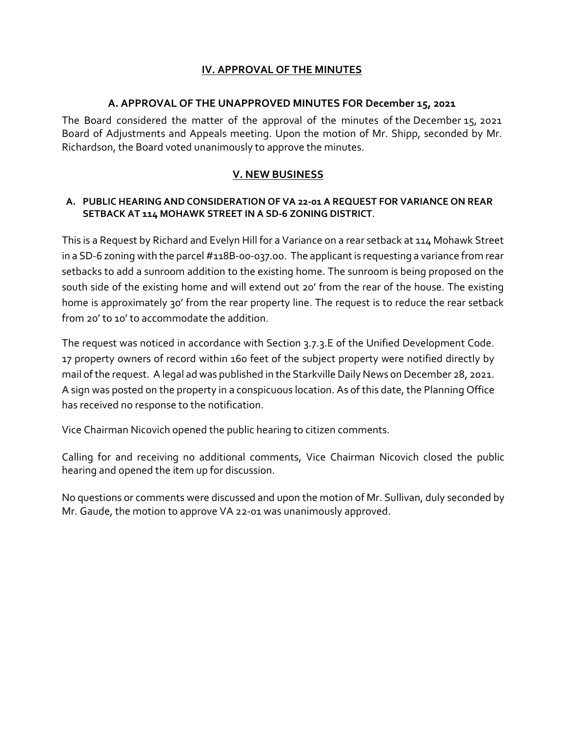## **IV. APPROVAL OF THE MINUTES**

### **A. APPROVAL OF THE UNAPPROVED MINUTES FOR December 15, 2021**

The Board considered the matter of the approval of the minutes of the December 15, 2021 Board of Adjustments and Appeals meeting. Upon the motion of Mr. Shipp, seconded by Mr. Richardson, the Board voted unanimously to approve the minutes.

## **V. NEW BUSINESS**

#### **A. PUBLIC HEARING AND CONSIDERATION OF VA 22-01 A REQUEST FOR VARIANCE ON REAR SETBACK AT 114 MOHAWK STREET IN A SD-6 ZONING DISTRICT**.

This is a Request by Richard and Evelyn Hill for a Variance on a rear setback at 114 Mohawk Street in a SD-6 zoning with the parcel #118B-00-037.00. The applicant is requesting a variance from rear setbacks to add a sunroom addition to the existing home. The sunroom is being proposed on the south side of the existing home and will extend out 20' from the rear of the house. The existing home is approximately 30' from the rear property line. The request is to reduce the rear setback from 20' to 10' to accommodate the addition.

The request was noticed in accordance with Section 3.7.3.E of the Unified Development Code. 17 property owners of record within 160 feet of the subject property were notified directly by mail of the request. A legal ad was published in the Starkville Daily News on December 28, 2021. A sign was posted on the property in a conspicuous location. As of this date, the Planning Office has received no response to the notification.

Vice Chairman Nicovich opened the public hearing to citizen comments.

Calling for and receiving no additional comments, Vice Chairman Nicovich closed the public hearing and opened the item up for discussion.

No questions or comments were discussed and upon the motion of Mr. Sullivan, duly seconded by Mr. Gaude, the motion to approve VA 22-01 was unanimously approved.